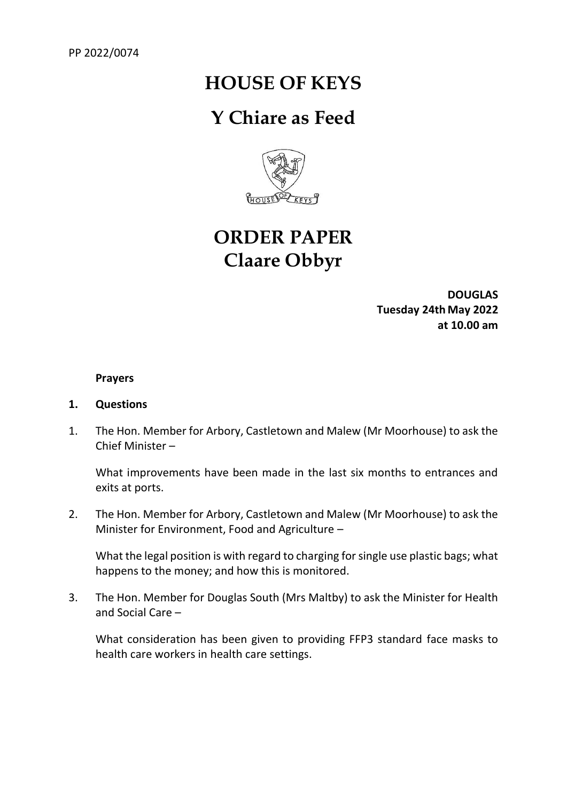## **HOUSE OF KEYS**

### **Y Chiare as Feed**



# **ORDER PAPER Claare Obbyr**

**DOUGLAS Tuesday 24th May 2022 at 10.00 am**

#### **Prayers**

#### **1. Questions**

1. The Hon. Member for Arbory, Castletown and Malew (Mr Moorhouse) to ask the Chief Minister –

What improvements have been made in the last six months to entrances and exits at ports.

2. The Hon. Member for Arbory, Castletown and Malew (Mr Moorhouse) to ask the Minister for Environment, Food and Agriculture –

What the legal position is with regard to charging for single use plastic bags; what happens to the money; and how this is monitored.

3. The Hon. Member for Douglas South (Mrs Maltby) to ask the Minister for Health and Social Care –

What consideration has been given to providing FFP3 standard face masks to health care workers in health care settings.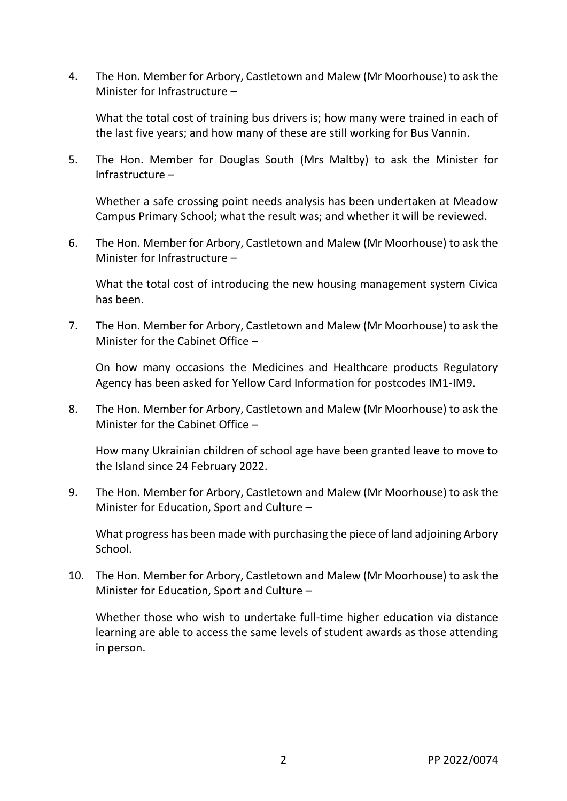4. The Hon. Member for Arbory, Castletown and Malew (Mr Moorhouse) to ask the Minister for Infrastructure –

What the total cost of training bus drivers is; how many were trained in each of the last five years; and how many of these are still working for Bus Vannin.

5. The Hon. Member for Douglas South (Mrs Maltby) to ask the Minister for Infrastructure –

Whether a safe crossing point needs analysis has been undertaken at Meadow Campus Primary School; what the result was; and whether it will be reviewed.

6. The Hon. Member for Arbory, Castletown and Malew (Mr Moorhouse) to ask the Minister for Infrastructure –

What the total cost of introducing the new housing management system Civica has been.

7. The Hon. Member for Arbory, Castletown and Malew (Mr Moorhouse) to ask the Minister for the Cabinet Office –

On how many occasions the Medicines and Healthcare products Regulatory Agency has been asked for Yellow Card Information for postcodes IM1-IM9.

8. The Hon. Member for Arbory, Castletown and Malew (Mr Moorhouse) to ask the Minister for the Cabinet Office –

How many Ukrainian children of school age have been granted leave to move to the Island since 24 February 2022.

9. The Hon. Member for Arbory, Castletown and Malew (Mr Moorhouse) to ask the Minister for Education, Sport and Culture –

What progress has been made with purchasing the piece of land adjoining Arbory School.

10. The Hon. Member for Arbory, Castletown and Malew (Mr Moorhouse) to ask the Minister for Education, Sport and Culture –

Whether those who wish to undertake full-time higher education via distance learning are able to access the same levels of student awards as those attending in person.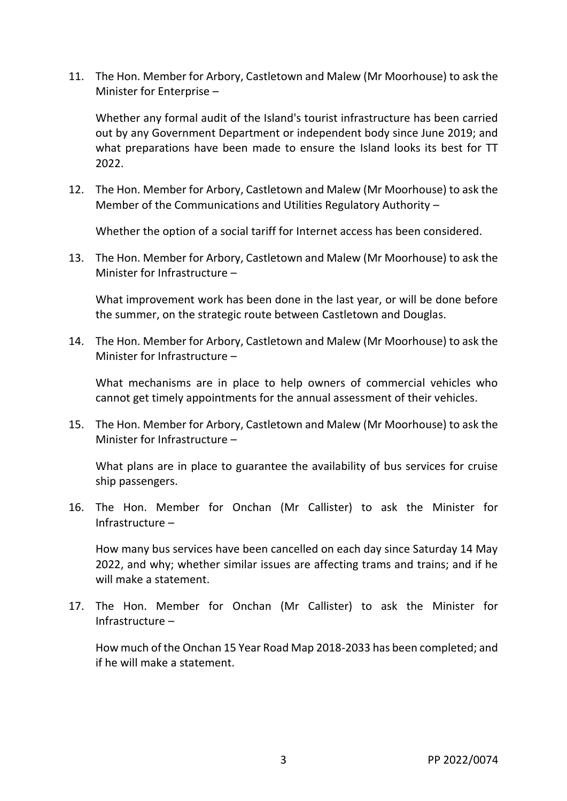11. The Hon. Member for Arbory, Castletown and Malew (Mr Moorhouse) to ask the Minister for Enterprise –

Whether any formal audit of the Island's tourist infrastructure has been carried out by any Government Department or independent body since June 2019; and what preparations have been made to ensure the Island looks its best for TT 2022.

12. The Hon. Member for Arbory, Castletown and Malew (Mr Moorhouse) to ask the Member of the Communications and Utilities Regulatory Authority –

Whether the option of a social tariff for Internet access has been considered.

13. The Hon. Member for Arbory, Castletown and Malew (Mr Moorhouse) to ask the Minister for Infrastructure –

What improvement work has been done in the last year, or will be done before the summer, on the strategic route between Castletown and Douglas.

14. The Hon. Member for Arbory, Castletown and Malew (Mr Moorhouse) to ask the Minister for Infrastructure –

What mechanisms are in place to help owners of commercial vehicles who cannot get timely appointments for the annual assessment of their vehicles.

15. The Hon. Member for Arbory, Castletown and Malew (Mr Moorhouse) to ask the Minister for Infrastructure –

What plans are in place to guarantee the availability of bus services for cruise ship passengers.

16. The Hon. Member for Onchan (Mr Callister) to ask the Minister for Infrastructure –

How many bus services have been cancelled on each day since Saturday 14 May 2022, and why; whether similar issues are affecting trams and trains; and if he will make a statement.

17. The Hon. Member for Onchan (Mr Callister) to ask the Minister for Infrastructure –

How much of the Onchan 15 Year Road Map 2018-2033 has been completed; and if he will make a statement.